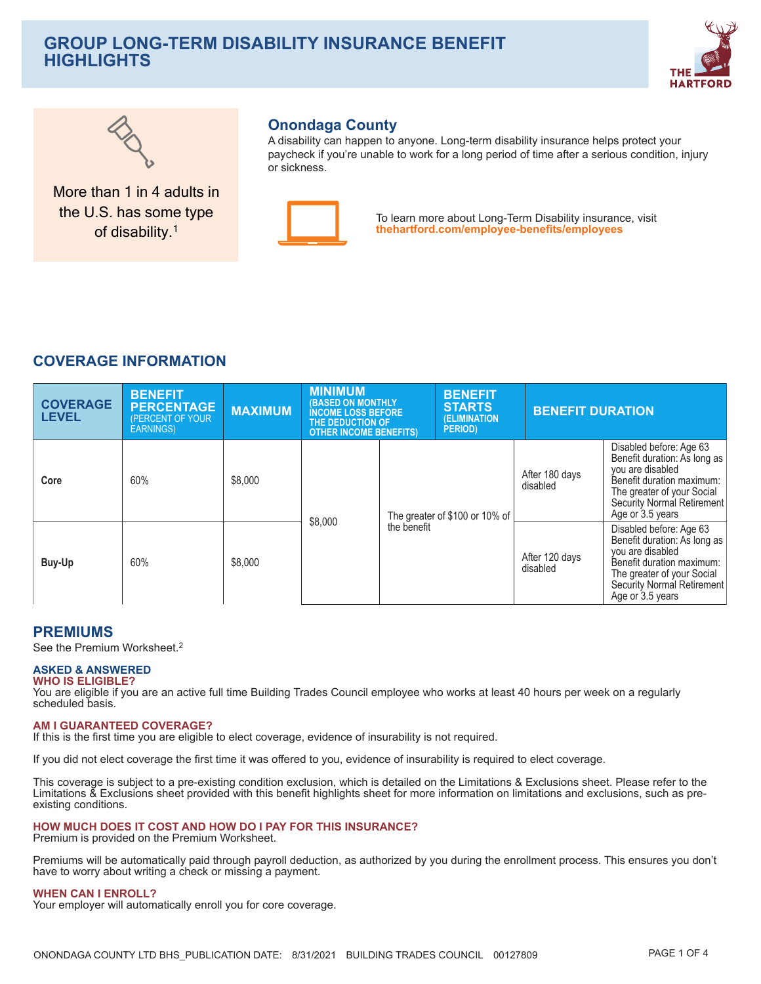# **GROUP LONG-TERM DISABILITY INSURANCE BENEFIT HIGHLIGHTS**





More than 1 in 4 adults in the U.S. has some type of disability.<sup>1</sup>

## **Onondaga County**

A disability can happen to anyone. Long-term disability insurance helps protect your paycheck if you're unable to work for a long period of time after a serious condition, injury or sickness



To learn more about Long-Term Disability insurance, visit thehartford.com/employee-benefits/employees

## **COVERAGE INFORMATION**

| <b>COVERAGE</b><br><b>LEVEL</b> | <b>BENEFIT</b><br><b>PERCENTAGE</b><br>(PERCENT OF YOUR<br><b>EARNINGS</b> ) | <b>MAXIMUM</b> | <b>MINIMUM</b><br><b>(BASED ON MONTHLY</b><br><b>INCOME LOSS BEFORE</b><br>THE DEDUCTION OF<br><b>OTHER INCOME BENEFITS)</b> |                                               | <b>BENEFIT</b><br><b>STARTS</b><br>(ELIMINATION<br><b>PERIOD</b> |                            | <b>BENEFIT DURATION</b>                                                                                                                                                                  |  |
|---------------------------------|------------------------------------------------------------------------------|----------------|------------------------------------------------------------------------------------------------------------------------------|-----------------------------------------------|------------------------------------------------------------------|----------------------------|------------------------------------------------------------------------------------------------------------------------------------------------------------------------------------------|--|
| Core                            | 60%                                                                          | \$8,000        | \$8,000                                                                                                                      | The greater of \$100 or 10% of<br>the benefit |                                                                  | After 180 days<br>disabled | Disabled before: Age 63<br>Benefit duration: As long as<br>you are disabled<br>Benefit duration maximum:<br>The greater of your Social<br>Security Normal Retirement<br>Age or 3.5 years |  |
| Buy-Up                          | 60%                                                                          | \$8,000        |                                                                                                                              |                                               |                                                                  | After 120 days<br>disabled | Disabled before: Age 63<br>Benefit duration: As long as<br>you are disabled<br>Benefit duration maximum:<br>The greater of your Social<br>Security Normal Retirement<br>Age or 3.5 years |  |

## **PREMIUMS**

See the Premium Worksheet.<sup>2</sup>

#### **ASKED & ANSWERED WHO IS ELIGIBLE?**

You are eligible if you are an active full time Building Trades Council employee who works at least 40 hours per week on a regularly scheduled basis.

#### **AM I GUARANTEED COVERAGE?**

If this is the first time you are eligible to elect coverage, evidence of insurability is not required.

If you did not elect coverage the first time it was offered to you, evidence of insurability is required to elect coverage.

This coverage is subject to a pre-existing condition exclusion, which is detailed on the Limitations & Exclusions sheet. Please refer to the Limitations & Exclusions sheet provided with this benefit highlights sheet for more information on limitations and exclusions, such as preexisting conditions.

#### HOW MUCH DOES IT COST AND HOW DO I PAY FOR THIS INSURANCE?

Premium is provided on the Premium Worksheet.

Premiums will be automatically paid through payroll deduction, as authorized by you during the enrollment process. This ensures you don't have to worry about writing a check or missing a payment.

#### **WHEN CAN I ENROLL?**

Your employer will automatically enroll you for core coverage.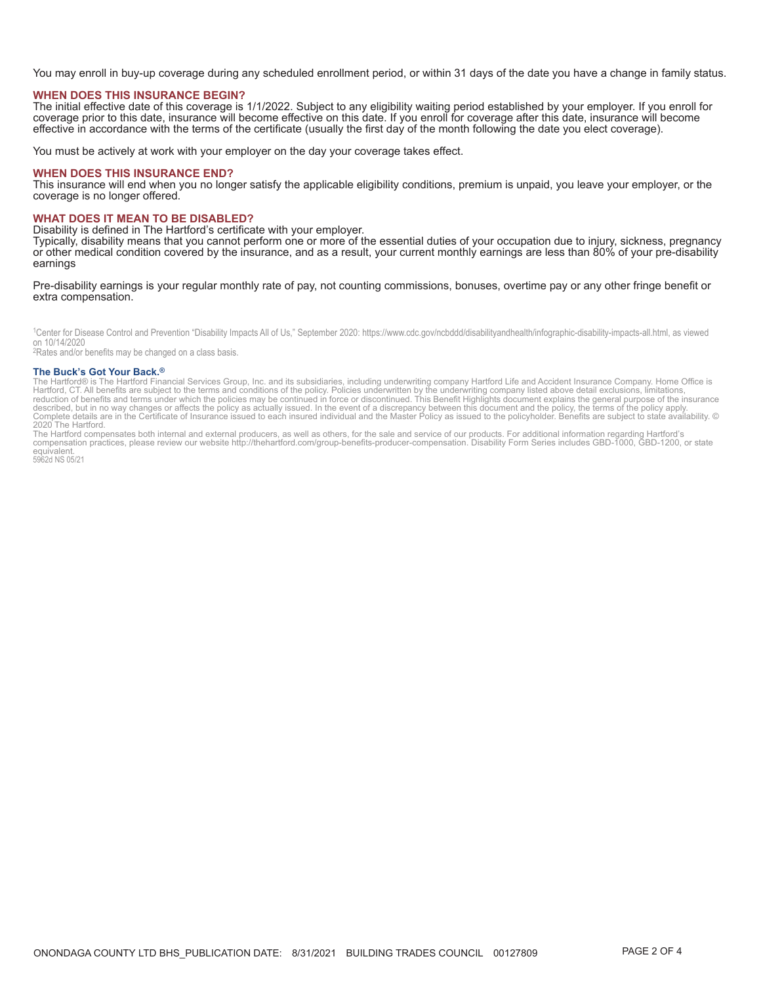You may enroll in buy-up coverage during any scheduled enrollment period, or within 31 days of the date you have a change in family status.

#### **WHEN DOES THIS INSURANCE BEGIN?**

The initial effective date of this coverage is 1/1/2022. Subject to any eligibility waiting period established by your employer. If you enroll for coverage prior to this date, insurance will become effective on this date.

You must be actively at work with your employer on the day your coverage takes effect.

#### **WHEN DOES THIS INSURANCE END?**

This insurance will end when you no longer satisfy the applicable eligibility conditions, premium is unpaid, you leave your employer, or the coverage is no longer offered.

#### **WHAT DOES IT MEAN TO BE DISABLED?**

Disability is defined in The Hartford's certificate with your employer.

Typically, disability means that you cannot perform one or more of the essential duties of your occupation due to injury, sickness, pregnancy or other medical condition covered by the insurance, and as a result, your current monthly earnings are less than 80% of your pre-disability earnings

#### Pre-disability earnings is your regular monthly rate of pay, not counting commissions, bonuses, overtime pay or any other fringe benefit or extra compensation.

<sup>1</sup>Center for Disease Control and Prevention "Disability Impacts All of Us," September 2020: https://www.cdc.gov/ncbddd/disabilityandhealth/infographic-disability-impacts-all.html, as viewed on 10/14/2020

<sup>2</sup>Rates and/or benefits may be changed on a class basis.

#### The Buck's Got Your Back.<sup>®</sup>

The Burtford® is The Hartford Financial Services Group, Inc. and its subsidiaries, including underwriting company Hartford Life and Accident Insurance Company. Home Office is<br>Hartford, CT. All benefits are subject to the t

2020 The Hartford.<br>The Hartford compensates both internal and external producers, as well as others, for the sale and service of our products. For additional information regarding Hartford's<br>Compensation practices, please equivalent.<br>5962d NS 05/21